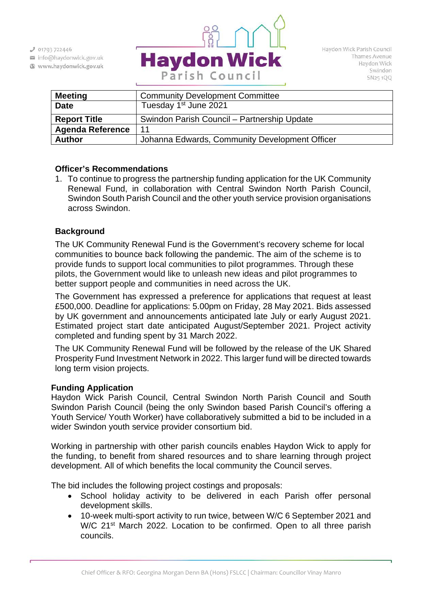$J$  01793 722446

- info@haydonwick.gov.uk
- Www.haydonwick.gov.uk



| <b>Meeting</b>          | <b>Community Development Committee</b>         |
|-------------------------|------------------------------------------------|
| <b>Date</b>             | Tuesday 1 <sup>st</sup> June 2021              |
| <b>Report Title</b>     | Swindon Parish Council – Partnership Update    |
| <b>Agenda Reference</b> | 11                                             |
| <b>Author</b>           | Johanna Edwards, Community Development Officer |

## **Officer's Recommendations**

1. To continue to progress the partnership funding application for the UK Community Renewal Fund, in collaboration with Central Swindon North Parish Council, Swindon South Parish Council and the other youth service provision organisations across Swindon.

## **Background**

The UK Community Renewal Fund is the Government's recovery scheme for local communities to bounce back following the pandemic. The aim of the scheme is to provide funds to support local communities to pilot programmes. Through these pilots, the Government would like to unleash new ideas and pilot programmes to better support people and communities in need across the UK.

The Government has expressed a preference for applications that request at least £500,000. Deadline for applications: 5.00pm on Friday, 28 May 2021. Bids assessed by UK government and announcements anticipated late July or early August 2021. Estimated project start date anticipated August/September 2021. Project activity completed and funding spent by 31 March 2022.

The UK Community Renewal Fund will be followed by the release of the UK Shared Prosperity Fund Investment Network in 2022. This larger fund will be directed towards long term vision projects.

## **Funding Application**

Haydon Wick Parish Council, Central Swindon North Parish Council and South Swindon Parish Council (being the only Swindon based Parish Council's offering a Youth Service/ Youth Worker) have collaboratively submitted a bid to be included in a wider Swindon youth service provider consortium bid.

Working in partnership with other parish councils enables Haydon Wick to apply for the funding, to benefit from shared resources and to share learning through project development. All of which benefits the local community the Council serves.

The bid includes the following project costings and proposals:

- School holiday activity to be delivered in each Parish offer personal development skills.
- 10-week multi-sport activity to run twice, between W/C 6 September 2021 and W/C 21<sup>st</sup> March 2022. Location to be confirmed. Open to all three parish councils.